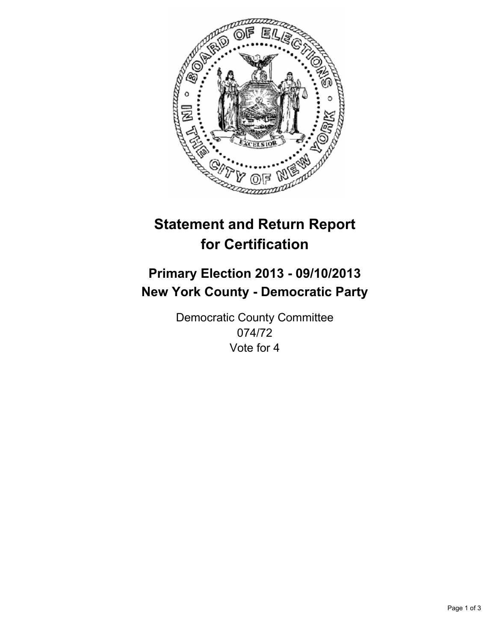

# **Statement and Return Report for Certification**

# **Primary Election 2013 - 09/10/2013 New York County - Democratic Party**

Democratic County Committee 074/72 Vote for 4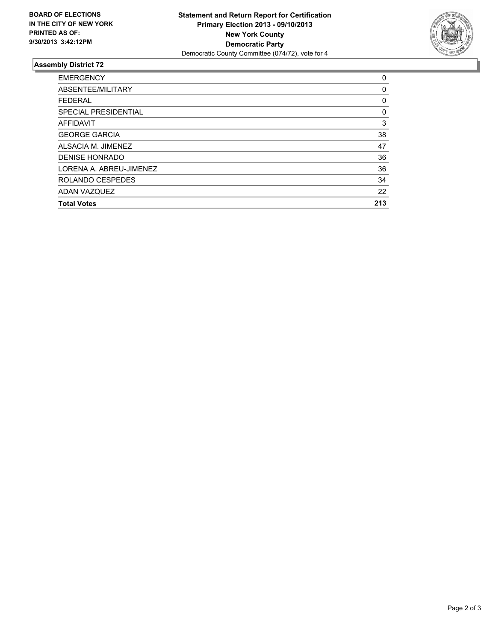

## **Assembly District 72**

| <b>EMERGENCY</b>        | 0   |
|-------------------------|-----|
| ABSENTEE/MILITARY       | 0   |
| <b>FEDERAL</b>          | 0   |
| SPECIAL PRESIDENTIAL    | 0   |
| <b>AFFIDAVIT</b>        | 3   |
| <b>GEORGE GARCIA</b>    | 38  |
| ALSACIA M. JIMENEZ      | 47  |
| DENISE HONRADO          | 36  |
| LORENA A. ABREU-JIMENEZ | 36  |
| ROLANDO CESPEDES        | 34  |
| ADAN VAZQUEZ            | 22  |
| <b>Total Votes</b>      | 213 |